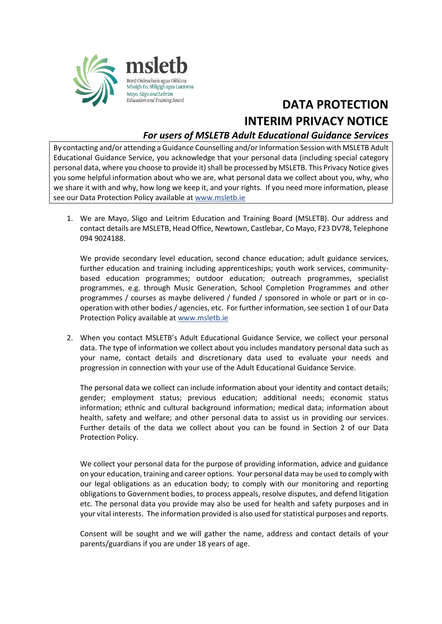

## **DATA PROTECTION INTERIM PRIVACY NOTICE**

## *For users of MSLETB Adult Educational Guidance Services*

By contacting and/or attending a Guidance Counselling and/or Information Session with MSLETB Adult Educational Guidance Service, you acknowledge that your personal data (including special category personal data, where you choose to provide it) shall be processed by MSLETB. This Privacy Notice gives you some helpful information about who we are, what personal data we collect about you, why, who we share it with and why, how long we keep it, and your rights. If you need more information, please see our Data Protection Policy available a[t www.msletb.ie](http://www.msletb.ie/)

1. We are Mayo, Sligo and Leitrim Education and Training Board (MSLETB). Our address and contact details are MSLETB, Head Office, Newtown, Castlebar, Co Mayo, F23 DV78, Telephone 094 9024188.

We provide secondary level education, second chance education; adult guidance services, further education and training including apprenticeships; youth work services, communitybased education programmes; outdoor education; outreach programmes, specialist programmes, e.g. through Music Generation, School Completion Programmes and other programmes / courses as maybe delivered / funded / sponsored in whole or part or in cooperation with other bodies / agencies, etc. For further information, see section 1 of our Data Protection Policy available a[t www.msletb.ie](http://www.msletb.ie/)

2. When you contact MSLETB's Adult Educational Guidance Service, we collect your personal data. The type of information we collect about you includes mandatory personal data such as your name, contact details and discretionary data used to evaluate your needs and progression in connection with your use of the Adult Educational Guidance Service.

The personal data we collect can include information about your identity and contact details; gender; employment status; previous education; additional needs; economic status information; ethnic and cultural background information; medical data; information about health, safety and welfare; and other personal data to assist us in providing our services. Further details of the data we collect about you can be found in Section 2 of our Data Protection Policy.

We collect your personal data for the purpose of providing information, advice and guidance on your education, training and career options. Your personal data may be used to comply with our legal obligations as an education body; to comply with our monitoring and reporting obligations to Government bodies, to process appeals, resolve disputes, and defend litigation etc. The personal data you provide may also be used for health and safety purposes and in your vital interests. The information provided is also used for statistical purposes and reports.

Consent will be sought and we will gather the name, address and contact details of your parents/guardians if you are under 18 years of age.